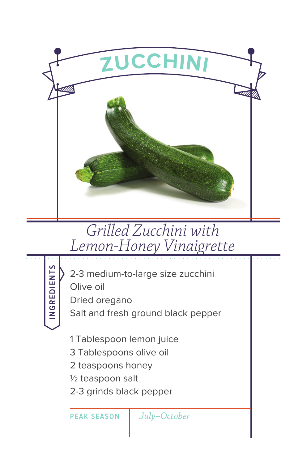

## *Grilled Zucchini with Lemon-Honey Vinaigrette*



2-3 medium-to-large size zucchini Olive oil Dried oregano

Salt and fresh ground black pepper

- 1 Tablespoon lemon juice
- 3 Tablespoons olive oil
- 2 teaspoons honey
- ½ teaspoon salt
- 2-3 grinds black pepper

**PEAK SEASON** *July–October*